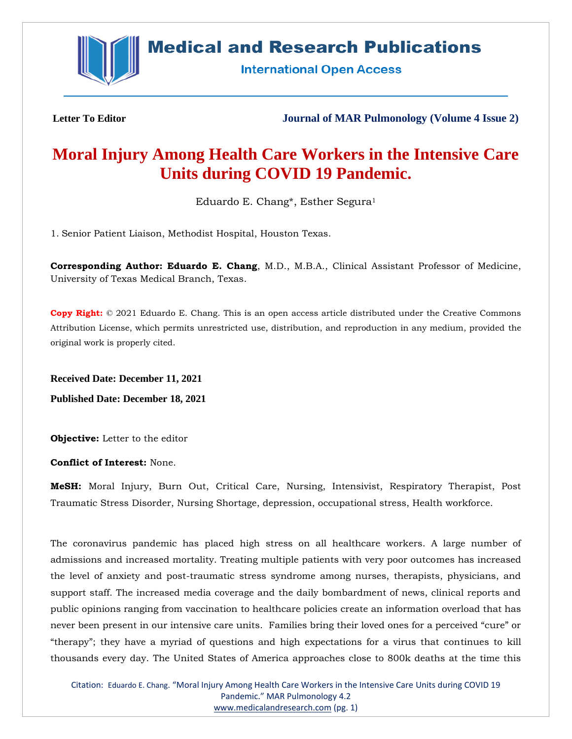

## **Medical and Research Publications**

**International Open Access** 

**Letter To Editor Journal of MAR Pulmonology (Volume 4 Issue 2)**

# **Moral Injury Among Health Care Workers in the Intensive Care Units during COVID 19 Pandemic.**

Eduardo E. Chang\*, Esther Segura<sup>1</sup>

1. Senior Patient Liaison, Methodist Hospital, Houston Texas.

**Corresponding Author: Eduardo E. Chang**, M.D., M.B.A., Clinical Assistant Professor of Medicine, University of Texas Medical Branch, Texas.

**Copy Right:** © 2021 Eduardo E. Chang. This is an open access article distributed under the Creative Commons Attribution License, which permits unrestricted use, distribution, and reproduction in any medium, provided the original work is properly cited.

**Received Date: December 11, 2021 Published Date: December 18, 2021**

**Objective:** Letter to the editor

**Conflict of Interest:** None.

**MeSH:** Moral Injury, Burn Out, Critical Care, Nursing, Intensivist, Respiratory Therapist, Post Traumatic Stress Disorder, Nursing Shortage, depression, occupational stress, Health workforce.

The coronavirus pandemic has placed high stress on all healthcare workers. A large number of admissions and increased mortality. Treating multiple patients with very poor outcomes has increased the level of anxiety and post-traumatic stress syndrome among nurses, therapists, physicians, and support staff. The increased media coverage and the daily bombardment of news, clinical reports and public opinions ranging from vaccination to healthcare policies create an information overload that has never been present in our intensive care units. Families bring their loved ones for a perceived "cure" or "therapy"; they have a myriad of questions and high expectations for a virus that continues to kill thousands every day. The United States of America approaches close to 800k deaths at the time this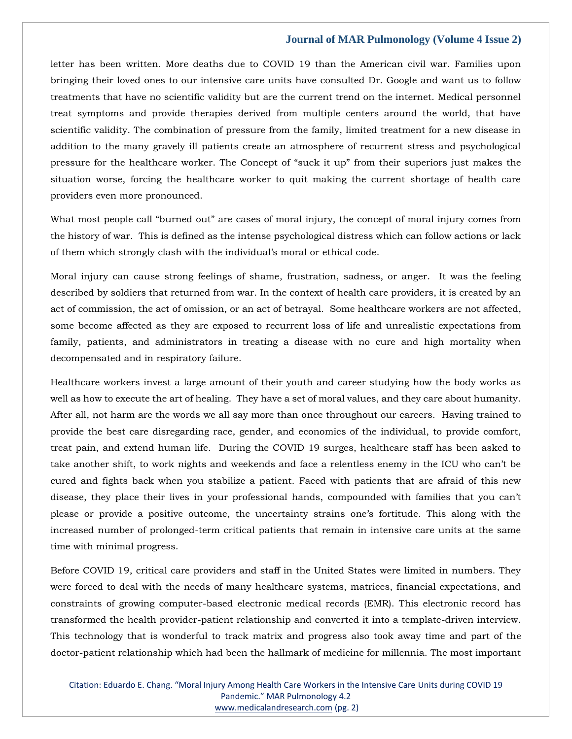#### **Journal of MAR Pulmonology (Volume 4 Issue 2)**

letter has been written. More deaths due to COVID 19 than the American civil war. Families upon bringing their loved ones to our intensive care units have consulted Dr. Google and want us to follow treatments that have no scientific validity but are the current trend on the internet. Medical personnel treat symptoms and provide therapies derived from multiple centers around the world, that have scientific validity. The combination of pressure from the family, limited treatment for a new disease in addition to the many gravely ill patients create an atmosphere of recurrent stress and psychological pressure for the healthcare worker. The Concept of "suck it up" from their superiors just makes the situation worse, forcing the healthcare worker to quit making the current shortage of health care providers even more pronounced.

What most people call "burned out" are cases of moral injury, the concept of moral injury comes from the history of war. This is defined as the intense psychological distress which can follow actions or lack of them which strongly clash with the individual's moral or ethical code.

Moral injury can cause strong feelings of shame, frustration, sadness, or anger. It was the feeling described by soldiers that returned from war. In the context of health care providers, it is created by an act of commission, the act of omission, or an act of betrayal. Some healthcare workers are not affected, some become affected as they are exposed to recurrent loss of life and unrealistic expectations from family, patients, and administrators in treating a disease with no cure and high mortality when decompensated and in respiratory failure.

Healthcare workers invest a large amount of their youth and career studying how the body works as well as how to execute the art of healing. They have a set of moral values, and they care about humanity. After all, not harm are the words we all say more than once throughout our careers. Having trained to provide the best care disregarding race, gender, and economics of the individual, to provide comfort, treat pain, and extend human life. During the COVID 19 surges, healthcare staff has been asked to take another shift, to work nights and weekends and face a relentless enemy in the ICU who can't be cured and fights back when you stabilize a patient. Faced with patients that are afraid of this new disease, they place their lives in your professional hands, compounded with families that you can't please or provide a positive outcome, the uncertainty strains one's fortitude. This along with the increased number of prolonged-term critical patients that remain in intensive care units at the same time with minimal progress.

Before COVID 19, critical care providers and staff in the United States were limited in numbers. They were forced to deal with the needs of many healthcare systems, matrices, financial expectations, and constraints of growing computer-based electronic medical records (EMR). This electronic record has transformed the health provider-patient relationship and converted it into a template-driven interview. This technology that is wonderful to track matrix and progress also took away time and part of the doctor-patient relationship which had been the hallmark of medicine for millennia. The most important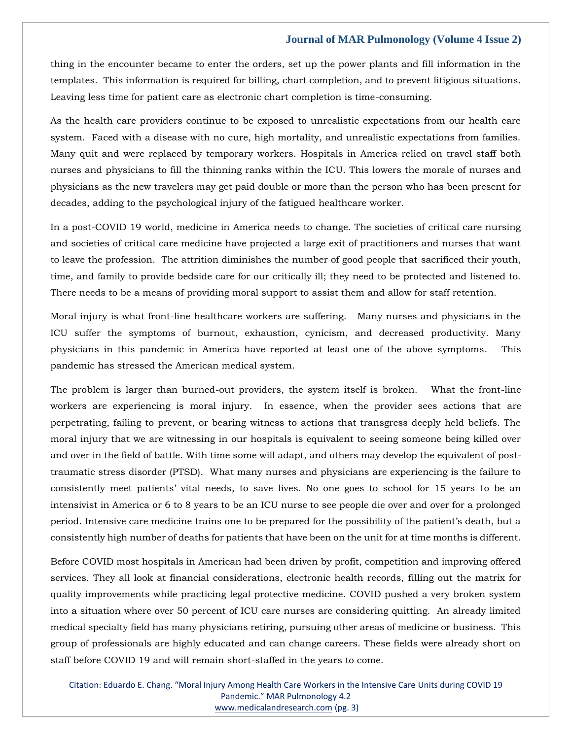#### **Journal of MAR Pulmonology (Volume 4 Issue 2)**

thing in the encounter became to enter the orders, set up the power plants and fill information in the templates. This information is required for billing, chart completion, and to prevent litigious situations. Leaving less time for patient care as electronic chart completion is time-consuming.

As the health care providers continue to be exposed to unrealistic expectations from our health care system. Faced with a disease with no cure, high mortality, and unrealistic expectations from families. Many quit and were replaced by temporary workers. Hospitals in America relied on travel staff both nurses and physicians to fill the thinning ranks within the ICU. This lowers the morale of nurses and physicians as the new travelers may get paid double or more than the person who has been present for decades, adding to the psychological injury of the fatigued healthcare worker.

In a post-COVID 19 world, medicine in America needs to change. The societies of critical care nursing and societies of critical care medicine have projected a large exit of practitioners and nurses that want to leave the profession. The attrition diminishes the number of good people that sacrificed their youth, time, and family to provide bedside care for our critically ill; they need to be protected and listened to. There needs to be a means of providing moral support to assist them and allow for staff retention.

Moral injury is what front-line healthcare workers are suffering. Many nurses and physicians in the ICU suffer the symptoms of burnout, exhaustion, cynicism, and decreased productivity. Many physicians in this pandemic in America have reported at least one of the above symptoms. This pandemic has stressed the American medical system.

The problem is larger than burned-out providers, the system itself is broken. What the front-line workers are experiencing is moral injury. In essence, when the provider sees actions that are perpetrating, failing to prevent, or bearing witness to actions that transgress deeply held beliefs. The moral injury that we are witnessing in our hospitals is equivalent to seeing someone being killed over and over in the field of battle. With time some will adapt, and others may develop the equivalent of posttraumatic stress disorder (PTSD). What many nurses and physicians are experiencing is the failure to consistently meet patients' vital needs, to save lives. No one goes to school for 15 years to be an intensivist in America or 6 to 8 years to be an ICU nurse to see people die over and over for a prolonged period. Intensive care medicine trains one to be prepared for the possibility of the patient's death, but a consistently high number of deaths for patients that have been on the unit for at time months is different.

Before COVID most hospitals in American had been driven by profit, competition and improving offered services. They all look at financial considerations, electronic health records, filling out the matrix for quality improvements while practicing legal protective medicine. COVID pushed a very broken system into a situation where over 50 percent of ICU care nurses are considering quitting. An already limited medical specialty field has many physicians retiring, pursuing other areas of medicine or business. This group of professionals are highly educated and can change careers. These fields were already short on staff before COVID 19 and will remain short-staffed in the years to come.

Citation: Eduardo E. Chang. "Moral Injury Among Health Care Workers in the Intensive Care Units during COVID 19 Pandemic." MAR Pulmonology 4.2 [www.medicalandresearch.com](http://www.medicalandresearch.com/) (pg. 3)